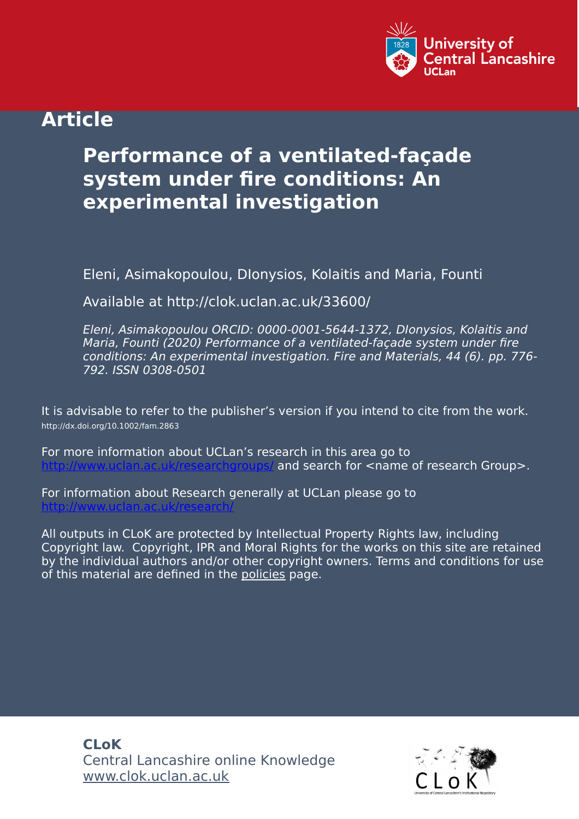

# **Article**

# **Performance of a ventilated‐façade system under fire conditions: An experimental investigation**

Eleni, Asimakopoulou, DIonysios, Kolaitis and Maria, Founti

Available at http://clok.uclan.ac.uk/33600/

Eleni, Asimakopoulou ORCID: 0000-0001-5644-1372, DIonysios, Kolaitis and Maria, Founti (2020) Performance of a ventilated‐façade system under fire conditions: An experimental investigation. Fire and Materials, 44 (6). pp. 776- 792. ISSN 0308-0501

It is advisable to refer to the publisher's version if you intend to cite from the work. http://dx.doi.org/10.1002/fam.2863

For more information about UCLan's research in this area go to and search for  $\leq$ name of research Group>.

For information about Research generally at UCLan please go to <http://www.uclan.ac.uk/research/>

All outputs in CLoK are protected by Intellectual Property Rights law, including Copyright law. Copyright, IPR and Moral Rights for the works on this site are retained by the individual authors and/or other copyright owners. Terms and conditions for use of this material are defined in the [policies](https://clok.uclan.ac.uk/policies.html) page.

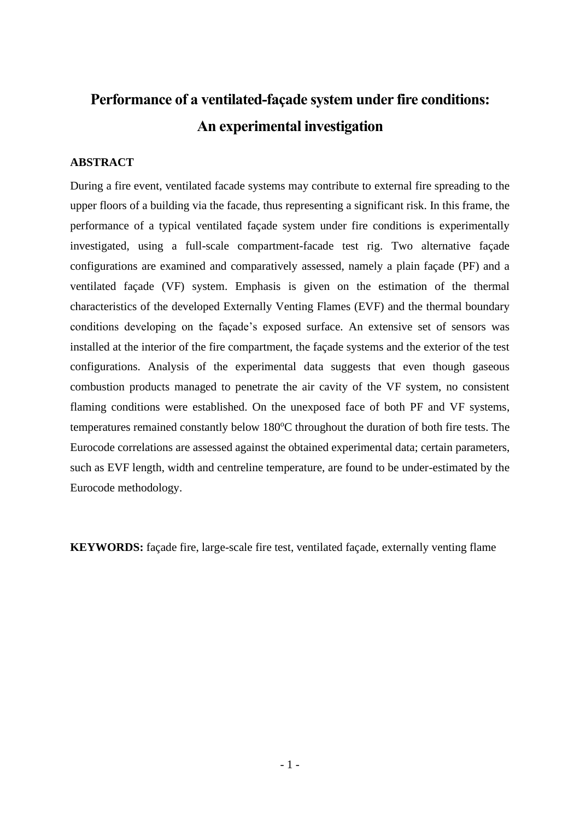# **Performance of a ventilated-façade system under fire conditions: An experimental investigation**

### **ABSTRACT**

During a fire event, ventilated facade systems may contribute to external fire spreading to the upper floors of a building via the facade, thus representing a significant risk. In this frame, the performance of a typical ventilated façade system under fire conditions is experimentally investigated, using a full-scale compartment-facade test rig. Two alternative façade configurations are examined and comparatively assessed, namely a plain façade (PF) and a ventilated façade (VF) system. Emphasis is given on the estimation of the thermal characteristics of the developed Externally Venting Flames (EVF) and the thermal boundary conditions developing on the façade's exposed surface. An extensive set of sensors was installed at the interior of the fire compartment, the façade systems and the exterior of the test configurations. Analysis of the experimental data suggests that even though gaseous combustion products managed to penetrate the air cavity of the VF system, no consistent flaming conditions were established. On the unexposed face of both PF and VF systems, temperatures remained constantly below  $180^{\circ}$ C throughout the duration of both fire tests. The Eurocode correlations are assessed against the obtained experimental data; certain parameters, such as EVF length, width and centreline temperature, are found to be under-estimated by the Eurocode methodology.

**KEYWORDS:** façade fire, large-scale fire test, ventilated façade, externally venting flame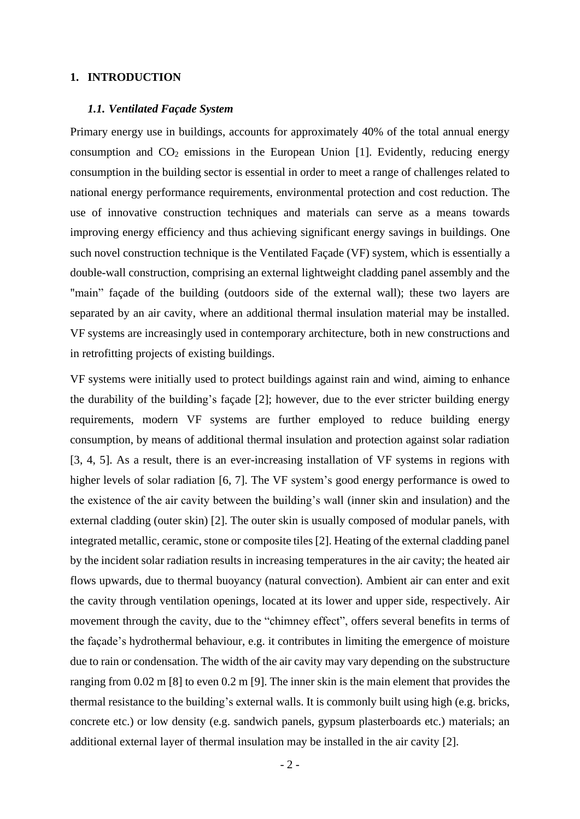#### **1. INTRODUCTION**

#### *1.1. Ventilated Façade System*

Primary energy use in buildings, accounts for approximately 40% of the total annual energy consumption and  $CO<sub>2</sub>$  emissions in the European Union [1]. Evidently, reducing energy consumption in the building sector is essential in order to meet a range of challenges related to national energy performance requirements, environmental protection and cost reduction. The use of innovative construction techniques and materials can serve as a means towards improving energy efficiency and thus achieving significant energy savings in buildings. One such novel construction technique is the Ventilated Façade (VF) system, which is essentially a double-wall construction, comprising an external lightweight cladding panel assembly and the "main" façade of the building (outdoors side of the external wall); these two layers are separated by an air cavity, where an additional thermal insulation material may be installed. VF systems are increasingly used in contemporary architecture, both in new constructions and in retrofitting projects of existing buildings.

VF systems were initially used to protect buildings against rain and wind, aiming to enhance the durability of the building's façade [2]; however, due to the ever stricter building energy requirements, modern VF systems are further employed to reduce building energy consumption, by means of additional thermal insulation and protection against solar radiation [3, 4, 5]. As a result, there is an ever-increasing installation of VF systems in regions with higher levels of solar radiation [6, 7]. The VF system's good energy performance is owed to the existence of the air cavity between the building's wall (inner skin and insulation) and the external cladding (outer skin) [2]. The outer skin is usually composed of modular panels, with integrated metallic, ceramic, stone or composite tiles [2]. Heating of the external cladding panel by the incident solar radiation results in increasing temperatures in the air cavity; the heated air flows upwards, due to thermal buoyancy (natural convection). Ambient air can enter and exit the cavity through ventilation openings, located at its lower and upper side, respectively. Air movement through the cavity, due to the "chimney effect", offers several benefits in terms of the façade's hydrothermal behaviour, e.g. it contributes in limiting the emergence of moisture due to rain or condensation. The width of the air cavity may vary depending on the substructure ranging from 0.02 m [8] to even 0.2 m [9]. The inner skin is the main element that provides the thermal resistance to the building's external walls. It is commonly built using high (e.g. bricks, concrete etc.) or low density (e.g. sandwich panels, gypsum plasterboards etc.) materials; an additional external layer of thermal insulation may be installed in the air cavity [2].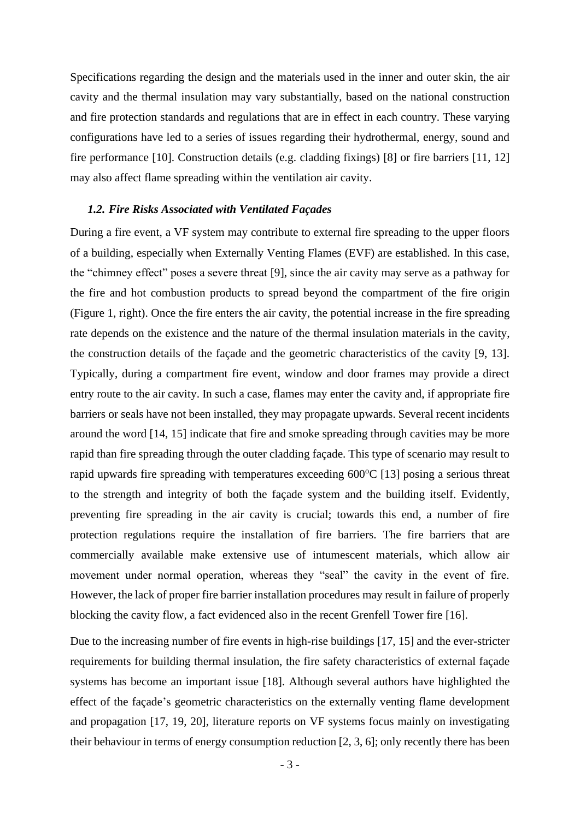Specifications regarding the design and the materials used in the inner and outer skin, the air cavity and the thermal insulation may vary substantially, based on the national construction and fire protection standards and regulations that are in effect in each country. These varying configurations have led to a series of issues regarding their hydrothermal, energy, sound and fire performance [10]. Construction details (e.g. cladding fixings) [8] or fire barriers [11, 12] may also affect flame spreading within the ventilation air cavity.

#### *1.2. Fire Risks Associated with Ventilated Façades*

During a fire event, a VF system may contribute to external fire spreading to the upper floors of a building, especially when Externally Venting Flames (EVF) are established. In this case, the "chimney effect" poses a severe threat [9], since the air cavity may serve as a pathway for the fire and hot combustion products to spread beyond the compartment of the fire origin (Figure 1, right). Once the fire enters the air cavity, the potential increase in the fire spreading rate depends on the existence and the nature of the thermal insulation materials in the cavity, the construction details of the façade and the geometric characteristics of the cavity [9, 13]. Typically, during a compartment fire event, window and door frames may provide a direct entry route to the air cavity. In such a case, flames may enter the cavity and, if appropriate fire barriers or seals have not been installed, they may propagate upwards. Several recent incidents around the word [14, 15] indicate that fire and smoke spreading through cavities may be more rapid than fire spreading through the outer cladding façade. This type of scenario may result to rapid upwards fire spreading with temperatures exceeding  $600^{\circ}C$  [13] posing a serious threat to the strength and integrity of both the façade system and the building itself. Evidently, preventing fire spreading in the air cavity is crucial; towards this end, a number of fire protection regulations require the installation of fire barriers. The fire barriers that are commercially available make extensive use of intumescent materials, which allow air movement under normal operation, whereas they "seal" the cavity in the event of fire. However, the lack of proper fire barrier installation procedures may result in failure of properly blocking the cavity flow, a fact evidenced also in the recent Grenfell Tower fire [16].

Due to the increasing number of fire events in high-rise buildings [17, 15] and the ever-stricter requirements for building thermal insulation, the fire safety characteristics of external façade systems has become an important issue [18]. Although several authors have highlighted the effect of the façade's geometric characteristics on the externally venting flame development and propagation [17, 19, 20], literature reports on VF systems focus mainly on investigating their behaviour in terms of energy consumption reduction [2, 3, 6]; only recently there has been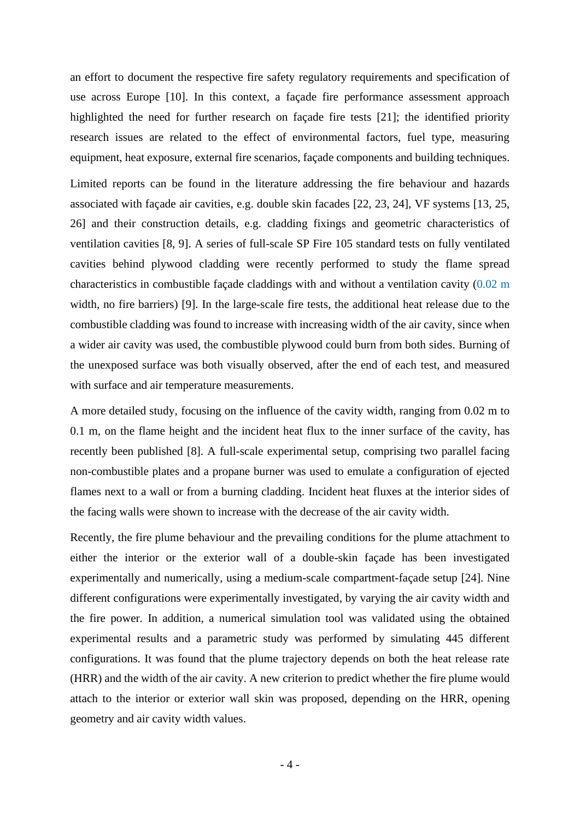an effort to document the respective fire safety regulatory requirements and specification of use across Europe [10]. In this context, a façade fire performance assessment approach highlighted the need for further research on façade fire tests [21]; the identified priority research issues are related to the effect of environmental factors, fuel type, measuring equipment, heat exposure, external fire scenarios, façade components and building techniques.

Limited reports can be found in the literature addressing the fire behaviour and hazards associated with façade air cavities, e.g. double skin facades [22, 23, 24], VF systems [13, 25, 26] and their construction details, e.g. cladding fixings and geometric characteristics of ventilation cavities [8, 9]. A series of full-scale SP Fire 105 standard tests on fully ventilated cavities behind plywood cladding were recently performed to study the flame spread characteristics in combustible façade claddings with and without a ventilation cavity (0.02 m width, no fire barriers) [9]. In the large-scale fire tests, the additional heat release due to the combustible cladding was found to increase with increasing width of the air cavity, since when a wider air cavity was used, the combustible plywood could burn from both sides. Burning of the unexposed surface was both visually observed, after the end of each test, and measured with surface and air temperature measurements.

A more detailed study, focusing on the influence of the cavity width, ranging from 0.02 m to 0.1 m, on the flame height and the incident heat flux to the inner surface of the cavity, has recently been published [8]. A full-scale experimental setup, comprising two parallel facing non-combustible plates and a propane burner was used to emulate a configuration of ejected flames next to a wall or from a burning cladding. Incident heat fluxes at the interior sides of the facing walls were shown to increase with the decrease of the air cavity width.

Recently, the fire plume behaviour and the prevailing conditions for the plume attachment to either the interior or the exterior wall of a double-skin façade has been investigated experimentally and numerically, using a medium-scale compartment-façade setup [24]. Nine different configurations were experimentally investigated, by varying the air cavity width and the fire power. In addition, a numerical simulation tool was validated using the obtained experimental results and a parametric study was performed by simulating 445 different configurations. It was found that the plume trajectory depends on both the heat release rate (HRR) and the width of the air cavity. A new criterion to predict whether the fire plume would attach to the interior or exterior wall skin was proposed, depending on the HRR, opening geometry and air cavity width values.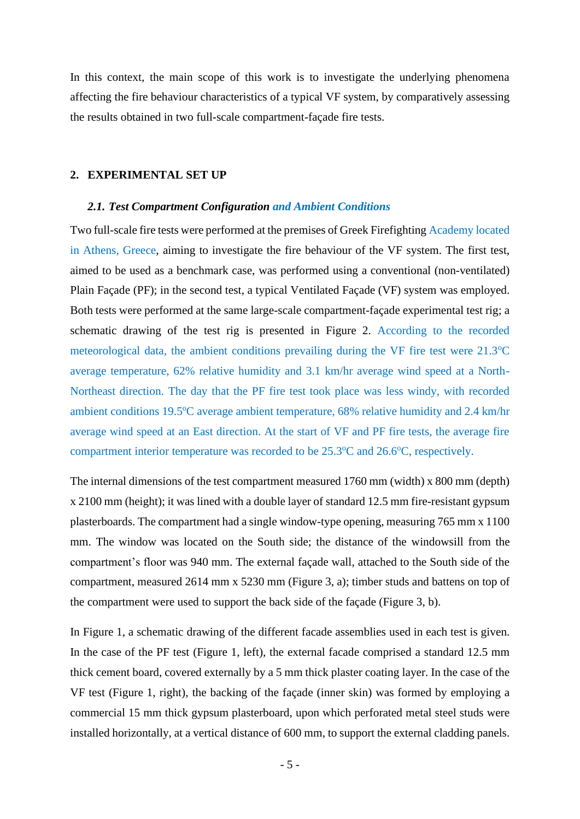In this context, the main scope of this work is to investigate the underlying phenomena affecting the fire behaviour characteristics of a typical VF system, by comparatively assessing the results obtained in two full-scale compartment-façade fire tests.

#### **2. EXPERIMENTAL SET UP**

#### *2.1. Test Compartment Configuration and Ambient Conditions*

Two full-scale fire tests were performed at the premises of Greek Firefighting Academy located in Athens, Greece, aiming to investigate the fire behaviour of the VF system. The first test, aimed to be used as a benchmark case, was performed using a conventional (non-ventilated) Plain Façade (PF); in the second test, a typical Ventilated Façade (VF) system was employed. Both tests were performed at the same large-scale compartment-façade experimental test rig; a schematic drawing of the test rig is presented in Figure 2. According to the recorded meteorological data, the ambient conditions prevailing during the VF fire test were  $21.3^{\circ}$ C average temperature, 62% relative humidity and 3.1 km/hr average wind speed at a North-Northeast direction. The day that the PF fire test took place was less windy, with recorded ambient conditions 19.5°C average ambient temperature, 68% relative humidity and 2.4 km/hr average wind speed at an East direction. At the start of VF and PF fire tests, the average fire compartment interior temperature was recorded to be  $25.3^{\circ}$ C and  $26.6^{\circ}$ C, respectively.

The internal dimensions of the test compartment measured 1760 mm (width) x 800 mm (depth) x 2100 mm (height); it was lined with a double layer of standard 12.5 mm fire-resistant gypsum plasterboards. The compartment had a single window-type opening, measuring 765 mm x 1100 mm. The window was located on the South side; the distance of the windowsill from the compartment's floor was 940 mm. The external façade wall, attached to the South side of the compartment, measured 2614 mm x 5230 mm (Figure 3, a); timber studs and battens on top of the compartment were used to support the back side of the façade (Figure 3, b).

In Figure 1, a schematic drawing of the different facade assemblies used in each test is given. In the case of the PF test (Figure 1, left), the external facade comprised a standard 12.5 mm thick cement board, covered externally by a 5 mm thick plaster coating layer. In the case of the VF test (Figure 1, right), the backing of the façade (inner skin) was formed by employing a commercial 15 mm thick gypsum plasterboard, upon which perforated metal steel studs were installed horizontally, at a vertical distance of 600 mm, to support the external cladding panels.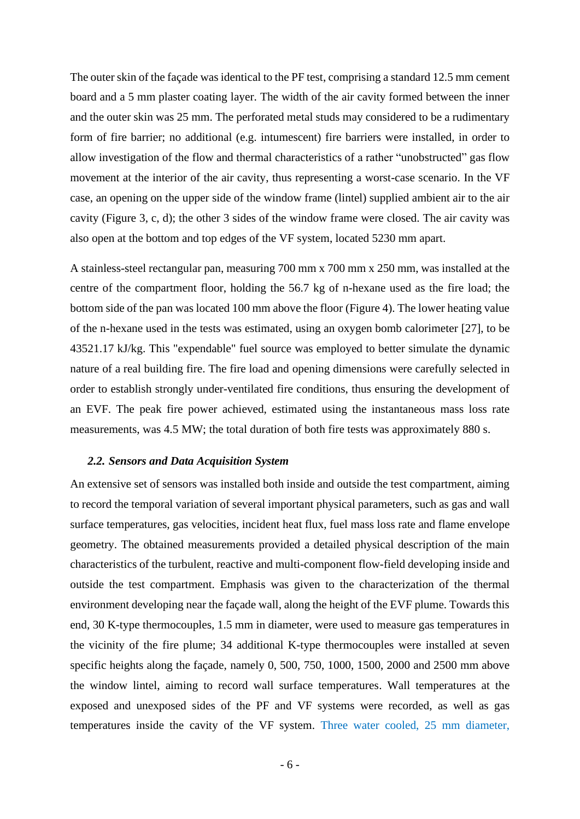The outer skin of the façade was identical to the PF test, comprising a standard 12.5 mm cement board and a 5 mm plaster coating layer. The width of the air cavity formed between the inner and the outer skin was 25 mm. The perforated metal studs may considered to be a rudimentary form of fire barrier; no additional (e.g. intumescent) fire barriers were installed, in order to allow investigation of the flow and thermal characteristics of a rather "unobstructed" gas flow movement at the interior of the air cavity, thus representing a worst-case scenario. In the VF case, an opening on the upper side of the window frame (lintel) supplied ambient air to the air cavity (Figure 3, c, d); the other 3 sides of the window frame were closed. The air cavity was also open at the bottom and top edges of the VF system, located 5230 mm apart.

A stainless-steel rectangular pan, measuring 700 mm x 700 mm x 250 mm, was installed at the centre of the compartment floor, holding the 56.7 kg of n-hexane used as the fire load; the bottom side of the pan was located 100 mm above the floor (Figure 4). The lower heating value of the n-hexane used in the tests was estimated, using an oxygen bomb calorimeter [27], to be 43521.17 kJ/kg. This "expendable" fuel source was employed to better simulate the dynamic nature of a real building fire. The fire load and opening dimensions were carefully selected in order to establish strongly under-ventilated fire conditions, thus ensuring the development of an EVF. The peak fire power achieved, estimated using the instantaneous mass loss rate measurements, was 4.5 MW; the total duration of both fire tests was approximately 880 s.

#### *2.2. Sensors and Data Acquisition System*

An extensive set of sensors was installed both inside and outside the test compartment, aiming to record the temporal variation of several important physical parameters, such as gas and wall surface temperatures, gas velocities, incident heat flux, fuel mass loss rate and flame envelope geometry. The obtained measurements provided a detailed physical description of the main characteristics of the turbulent, reactive and multi-component flow-field developing inside and outside the test compartment. Emphasis was given to the characterization of the thermal environment developing near the façade wall, along the height of the EVF plume. Towards this end, 30 K-type thermocouples, 1.5 mm in diameter, were used to measure gas temperatures in the vicinity of the fire plume; 34 additional K-type thermocouples were installed at seven specific heights along the façade, namely 0, 500, 750, 1000, 1500, 2000 and 2500 mm above the window lintel, aiming to record wall surface temperatures. Wall temperatures at the exposed and unexposed sides of the PF and VF systems were recorded, as well as gas temperatures inside the cavity of the VF system. Three water cooled, 25 mm diameter,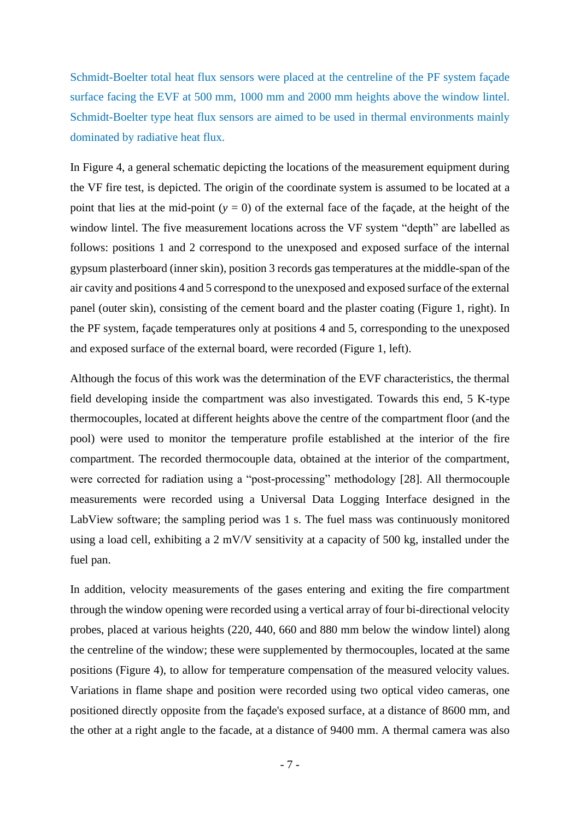Schmidt-Boelter total heat flux sensors were placed at the centreline of the PF system façade surface facing the EVF at 500 mm, 1000 mm and 2000 mm heights above the window lintel. Schmidt-Boelter type heat flux sensors are aimed to be used in thermal environments mainly dominated by radiative heat flux.

In Figure 4, a general schematic depicting the locations of the measurement equipment during the VF fire test, is depicted. The origin of the coordinate system is assumed to be located at a point that lies at the mid-point  $(y = 0)$  of the external face of the façade, at the height of the window lintel. The five measurement locations across the VF system "depth" are labelled as follows: positions 1 and 2 correspond to the unexposed and exposed surface of the internal gypsum plasterboard (inner skin), position 3 records gas temperatures at the middle-span of the air cavity and positions 4 and 5 correspond to the unexposed and exposed surface of the external panel (outer skin), consisting of the cement board and the plaster coating (Figure 1, right). In the PF system, façade temperatures only at positions 4 and 5, corresponding to the unexposed and exposed surface of the external board, were recorded (Figure 1, left).

Although the focus of this work was the determination of the EVF characteristics, the thermal field developing inside the compartment was also investigated. Towards this end, 5 K-type thermocouples, located at different heights above the centre of the compartment floor (and the pool) were used to monitor the temperature profile established at the interior of the fire compartment. The recorded thermocouple data, obtained at the interior of the compartment, were corrected for radiation using a "post-processing" methodology [28]. All thermocouple measurements were recorded using a Universal Data Logging Interface designed in the LabView software; the sampling period was 1 s. The fuel mass was continuously monitored using a load cell, exhibiting a 2 mV/V sensitivity at a capacity of 500 kg, installed under the fuel pan.

In addition, velocity measurements of the gases entering and exiting the fire compartment through the window opening were recorded using a vertical array of four bi-directional velocity probes, placed at various heights (220, 440, 660 and 880 mm below the window lintel) along the centreline of the window; these were supplemented by thermocouples, located at the same positions (Figure 4), to allow for temperature compensation of the measured velocity values. Variations in flame shape and position were recorded using two optical video cameras, one positioned directly opposite from the façade's exposed surface, at a distance of 8600 mm, and the other at a right angle to the facade, at a distance of 9400 mm. A thermal camera was also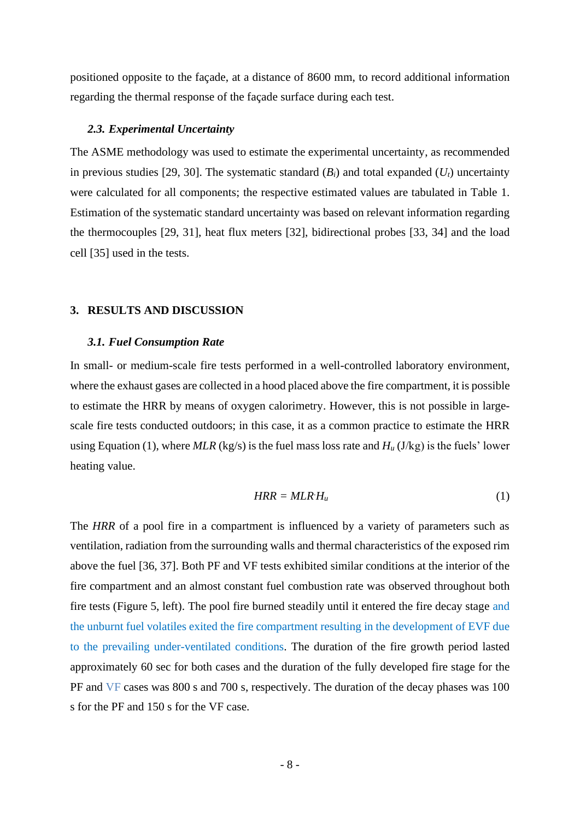positioned opposite to the façade, at a distance of 8600 mm, to record additional information regarding the thermal response of the façade surface during each test.

#### *2.3. Experimental Uncertainty*

The ASME methodology was used to estimate the experimental uncertainty, as recommended in previous studies [29, 30]. The systematic standard  $(B_i)$  and total expanded  $(U_t)$  uncertainty were calculated for all components; the respective estimated values are tabulated in Table 1. Estimation of the systematic standard uncertainty was based on relevant information regarding the thermocouples [29, 31], heat flux meters [32], bidirectional probes [33, 34] and the load cell [35] used in the tests.

#### **3. RESULTS AND DISCUSSION**

#### *3.1. Fuel Consumption Rate*

In small- or medium-scale fire tests performed in a well-controlled laboratory environment, where the exhaust gases are collected in a hood placed above the fire compartment, it is possible to estimate the HRR by means of oxygen calorimetry. However, this is not possible in largescale fire tests conducted outdoors; in this case, it as a common practice to estimate the HRR using Equation (1), where  $MLR$  (kg/s) is the fuel mass loss rate and  $H_u$  (J/kg) is the fuels' lower heating value.

$$
HRR = MLR \, H_u \tag{1}
$$

The *HRR* of a pool fire in a compartment is influenced by a variety of parameters such as ventilation, radiation from the surrounding walls and thermal characteristics of the exposed rim above the fuel [36, 37]. Both PF and VF tests exhibited similar conditions at the interior of the fire compartment and an almost constant fuel combustion rate was observed throughout both fire tests (Figure 5, left). The pool fire burned steadily until it entered the fire decay stage and the unburnt fuel volatiles exited the fire compartment resulting in the development of EVF due to the prevailing under-ventilated conditions. The duration of the fire growth period lasted approximately 60 sec for both cases and the duration of the fully developed fire stage for the PF and VF cases was 800 s and 700 s, respectively. The duration of the decay phases was 100 s for the PF and 150 s for the VF case.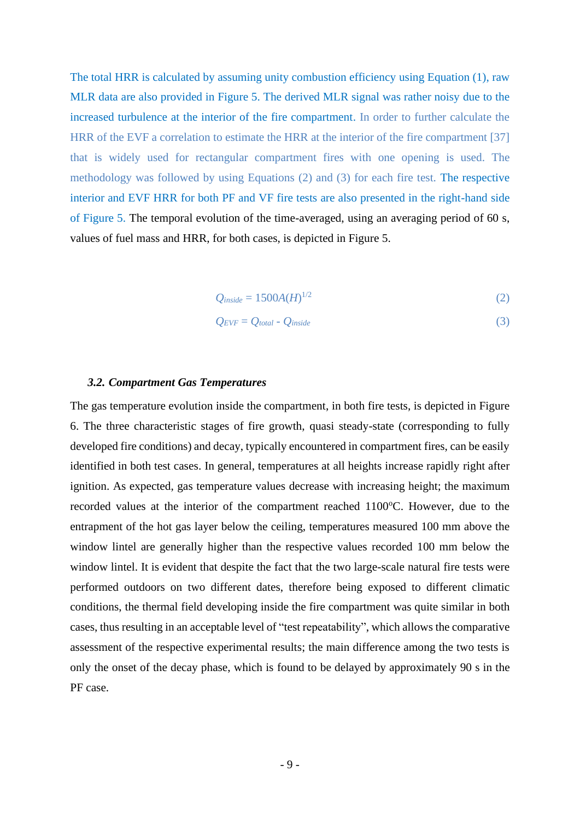The total HRR is calculated by assuming unity combustion efficiency using Equation (1), raw MLR data are also provided in Figure 5. The derived MLR signal was rather noisy due to the increased turbulence at the interior of the fire compartment. In order to further calculate the HRR of the EVF a correlation to estimate the HRR at the interior of the fire compartment [37] that is widely used for rectangular compartment fires with one opening is used. The methodology was followed by using Equations (2) and (3) for each fire test. The respective interior and EVF HRR for both PF and VF fire tests are also presented in the right-hand side of Figure 5. The temporal evolution of the time-averaged, using an averaging period of 60 s, values of fuel mass and HRR, for both cases, is depicted in Figure 5.

$$
Q_{inside} = 1500A(H)^{1/2} \tag{2}
$$

$$
Q_{EVF} = Q_{total} - Q_{inside} \tag{3}
$$

#### *3.2. Compartment Gas Temperatures*

The gas temperature evolution inside the compartment, in both fire tests, is depicted in Figure 6. The three characteristic stages of fire growth, quasi steady-state (corresponding to fully developed fire conditions) and decay, typically encountered in compartment fires, can be easily identified in both test cases. In general, temperatures at all heights increase rapidly right after ignition. As expected, gas temperature values decrease with increasing height; the maximum recorded values at the interior of the compartment reached 1100°C. However, due to the entrapment of the hot gas layer below the ceiling, temperatures measured 100 mm above the window lintel are generally higher than the respective values recorded 100 mm below the window lintel. It is evident that despite the fact that the two large-scale natural fire tests were performed outdoors on two different dates, therefore being exposed to different climatic conditions, the thermal field developing inside the fire compartment was quite similar in both cases, thus resulting in an acceptable level of "test repeatability", which allows the comparative assessment of the respective experimental results; the main difference among the two tests is only the onset of the decay phase, which is found to be delayed by approximately 90 s in the PF case.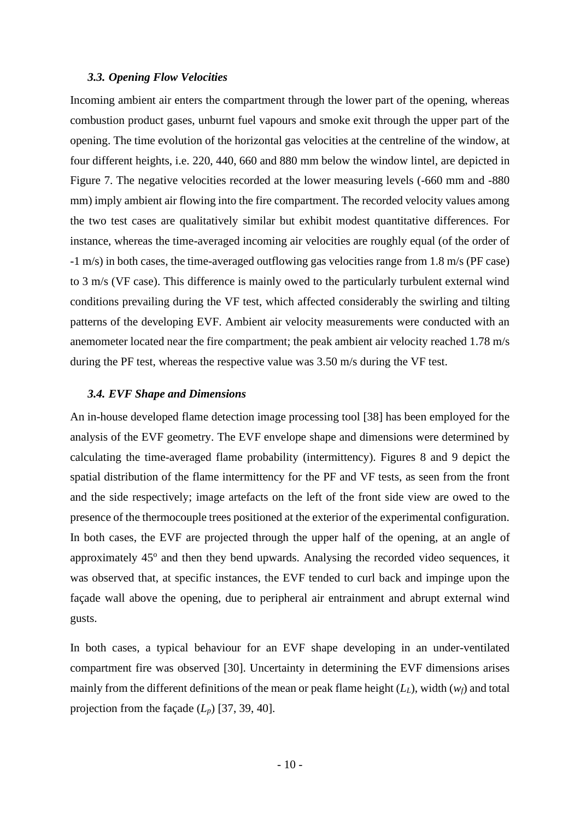#### *3.3. Opening Flow Velocities*

Incoming ambient air enters the compartment through the lower part of the opening, whereas combustion product gases, unburnt fuel vapours and smoke exit through the upper part of the opening. The time evolution of the horizontal gas velocities at the centreline of the window, at four different heights, i.e. 220, 440, 660 and 880 mm below the window lintel, are depicted in Figure 7. The negative velocities recorded at the lower measuring levels (-660 mm and -880 mm) imply ambient air flowing into the fire compartment. The recorded velocity values among the two test cases are qualitatively similar but exhibit modest quantitative differences. For instance, whereas the time-averaged incoming air velocities are roughly equal (of the order of -1 m/s) in both cases, the time-averaged outflowing gas velocities range from 1.8 m/s (PF case) to 3 m/s (VF case). This difference is mainly owed to the particularly turbulent external wind conditions prevailing during the VF test, which affected considerably the swirling and tilting patterns of the developing EVF. Ambient air velocity measurements were conducted with an anemometer located near the fire compartment; the peak ambient air velocity reached 1.78 m/s during the PF test, whereas the respective value was 3.50 m/s during the VF test.

#### *3.4. EVF Shape and Dimensions*

An in-house developed flame detection image processing tool [38] has been employed for the analysis of the EVF geometry. The EVF envelope shape and dimensions were determined by calculating the time-averaged flame probability (intermittency). Figures 8 and 9 depict the spatial distribution of the flame intermittency for the PF and VF tests, as seen from the front and the side respectively; image artefacts on the left of the front side view are owed to the presence of the thermocouple trees positioned at the exterior of the experimental configuration. In both cases, the EVF are projected through the upper half of the opening, at an angle of approximately 45° and then they bend upwards. Analysing the recorded video sequences, it was observed that, at specific instances, the EVF tended to curl back and impinge upon the façade wall above the opening, due to peripheral air entrainment and abrupt external wind gusts.

In both cases, a typical behaviour for an EVF shape developing in an under-ventilated compartment fire was observed [30]. Uncertainty in determining the EVF dimensions arises mainly from the different definitions of the mean or peak flame height (*LL*), width (*wf*) and total projection from the façade  $(L_p)$  [37, 39, 40].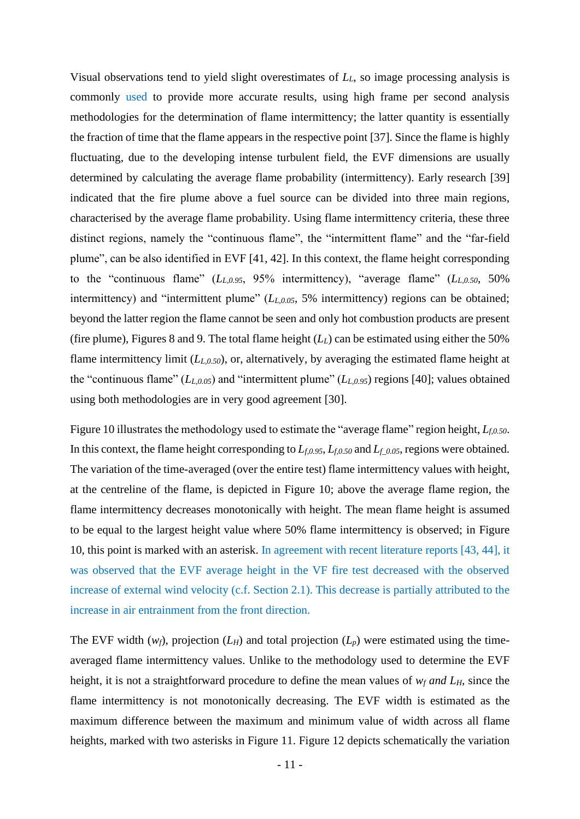Visual observations tend to yield slight overestimates of *LL*, so image processing analysis is commonly used to provide more accurate results, using high frame per second analysis methodologies for the determination of flame intermittency; the latter quantity is essentially the fraction of time that the flame appears in the respective point [37]. Since the flame is highly fluctuating, due to the developing intense turbulent field, the EVF dimensions are usually determined by calculating the average flame probability (intermittency). Early research [39] indicated that the fire plume above a fuel source can be divided into three main regions, characterised by the average flame probability. Using flame intermittency criteria, these three distinct regions, namely the "continuous flame", the "intermittent flame" and the "far-field plume", can be also identified in EVF [41, 42]. In this context, the flame height corresponding to the "continuous flame" (*LL,0.95*, 95% intermittency), "average flame" (*LL,0.50*, 50% intermittency) and "intermittent plume" (*LL,0.05*, 5% intermittency) regions can be obtained; beyond the latter region the flame cannot be seen and only hot combustion products are present (fire plume), Figures 8 and 9. The total flame height (*LL*) can be estimated using either the 50% flame intermittency limit (*LL,0.50*), or, alternatively, by averaging the estimated flame height at the "continuous flame" (*LL,0.05*) and "intermittent plume" (*LL,0.95*) regions [40]; values obtained using both methodologies are in very good agreement [30].

Figure 10 illustrates the methodology used to estimate the "average flame" region height, *Lf,0.50*. In this context, the flame height corresponding to *Lf,0.95*, *Lf,0.50* and *Lf\_0.05*, regions were obtained. The variation of the time-averaged (over the entire test) flame intermittency values with height, at the centreline of the flame, is depicted in Figure 10; above the average flame region, the flame intermittency decreases monotonically with height. The mean flame height is assumed to be equal to the largest height value where 50% flame intermittency is observed; in Figure 10, this point is marked with an asterisk. In agreement with recent literature reports [43, 44], it was observed that the EVF average height in the VF fire test decreased with the observed increase of external wind velocity (c.f. Section 2.1). This decrease is partially attributed to the increase in air entrainment from the front direction.

The EVF width  $(w_f)$ , projection  $(L_H)$  and total projection  $(L_p)$  were estimated using the timeaveraged flame intermittency values. Unlike to the methodology used to determine the EVF height, it is not a straightforward procedure to define the mean values of *w<sup>f</sup> and LH*, since the flame intermittency is not monotonically decreasing. The EVF width is estimated as the maximum difference between the maximum and minimum value of width across all flame heights, marked with two asterisks in Figure 11. Figure 12 depicts schematically the variation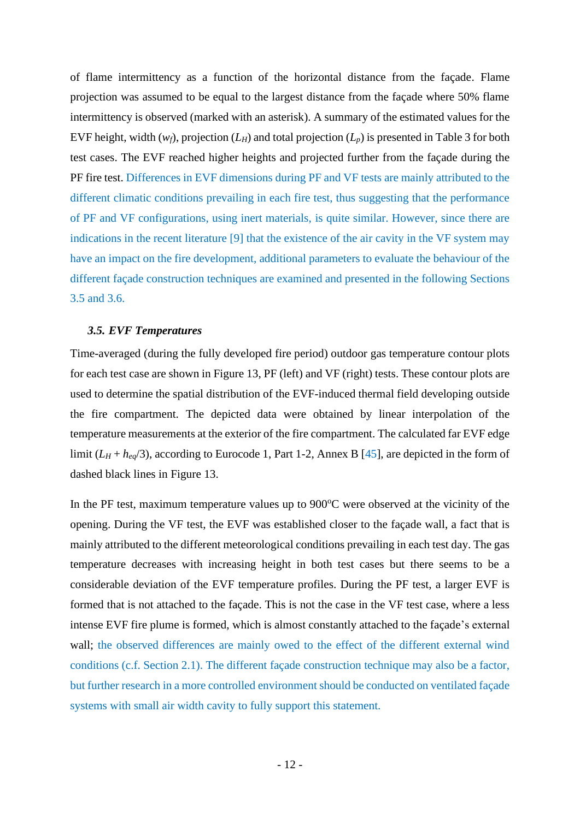of flame intermittency as a function of the horizontal distance from the façade. Flame projection was assumed to be equal to the largest distance from the façade where 50% flame intermittency is observed (marked with an asterisk). A summary of the estimated values for the EVF height, width  $(w_f)$ , projection  $(L_H)$  and total projection  $(L_p)$  is presented in Table 3 for both test cases. The EVF reached higher heights and projected further from the façade during the PF fire test. Differences in EVF dimensions during PF and VF tests are mainly attributed to the different climatic conditions prevailing in each fire test, thus suggesting that the performance of PF and VF configurations, using inert materials, is quite similar. However, since there are indications in the recent literature [9] that the existence of the air cavity in the VF system may have an impact on the fire development, additional parameters to evaluate the behaviour of the different façade construction techniques are examined and presented in the following Sections 3.5 and 3.6.

#### *3.5. EVF Temperatures*

Time-averaged (during the fully developed fire period) outdoor gas temperature contour plots for each test case are shown in Figure 13, PF (left) and VF (right) tests. These contour plots are used to determine the spatial distribution of the EVF-induced thermal field developing outside the fire compartment. The depicted data were obtained by linear interpolation of the temperature measurements at the exterior of the fire compartment. The calculated far EVF edge limit  $(L_H + h_{eq}/3)$ , according to Eurocode 1, Part 1-2, Annex B [45], are depicted in the form of dashed black lines in Figure 13.

In the PF test, maximum temperature values up to  $900^{\circ}$ C were observed at the vicinity of the opening. During the VF test, the EVF was established closer to the façade wall, a fact that is mainly attributed to the different meteorological conditions prevailing in each test day. The gas temperature decreases with increasing height in both test cases but there seems to be a considerable deviation of the EVF temperature profiles. During the PF test, a larger EVF is formed that is not attached to the façade. This is not the case in the VF test case, where a less intense EVF fire plume is formed, which is almost constantly attached to the façade's external wall; the observed differences are mainly owed to the effect of the different external wind conditions (c.f. Section 2.1). The different façade construction technique may also be a factor, but further research in a more controlled environment should be conducted on ventilated façade systems with small air width cavity to fully support this statement.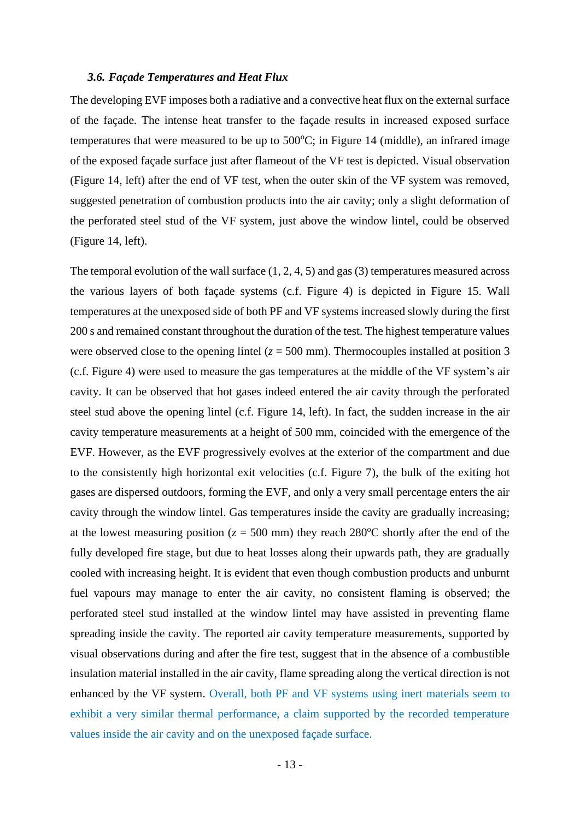#### *3.6. Façade Temperatures and Heat Flux*

The developing EVF imposes both a radiative and a convective heat flux on the external surface of the façade. The intense heat transfer to the façade results in increased exposed surface temperatures that were measured to be up to  $500^{\circ}$ C; in Figure 14 (middle), an infrared image of the exposed façade surface just after flameout of the VF test is depicted. Visual observation (Figure 14, left) after the end of VF test, when the outer skin of the VF system was removed, suggested penetration of combustion products into the air cavity; only a slight deformation of the perforated steel stud of the VF system, just above the window lintel, could be observed (Figure 14, left).

The temporal evolution of the wall surface (1, 2, 4, 5) and gas (3) temperatures measured across the various layers of both façade systems (c.f. Figure 4) is depicted in Figure 15. Wall temperatures at the unexposed side of both PF and VF systems increased slowly during the first 200 s and remained constant throughout the duration of the test. The highest temperature values were observed close to the opening lintel  $(z = 500 \text{ mm})$ . Thermocouples installed at position 3 (c.f. Figure 4) were used to measure the gas temperatures at the middle of the VF system's air cavity. It can be observed that hot gases indeed entered the air cavity through the perforated steel stud above the opening lintel (c.f. Figure 14, left). In fact, the sudden increase in the air cavity temperature measurements at a height of 500 mm, coincided with the emergence of the EVF. However, as the EVF progressively evolves at the exterior of the compartment and due to the consistently high horizontal exit velocities (c.f. Figure 7), the bulk of the exiting hot gases are dispersed outdoors, forming the EVF, and only a very small percentage enters the air cavity through the window lintel. Gas temperatures inside the cavity are gradually increasing; at the lowest measuring position ( $z = 500$  mm) they reach 280<sup>o</sup>C shortly after the end of the fully developed fire stage, but due to heat losses along their upwards path, they are gradually cooled with increasing height. It is evident that even though combustion products and unburnt fuel vapours may manage to enter the air cavity, no consistent flaming is observed; the perforated steel stud installed at the window lintel may have assisted in preventing flame spreading inside the cavity. The reported air cavity temperature measurements, supported by visual observations during and after the fire test, suggest that in the absence of a combustible insulation material installed in the air cavity, flame spreading along the vertical direction is not enhanced by the VF system. Overall, both PF and VF systems using inert materials seem to exhibit a very similar thermal performance, a claim supported by the recorded temperature values inside the air cavity and on the unexposed façade surface.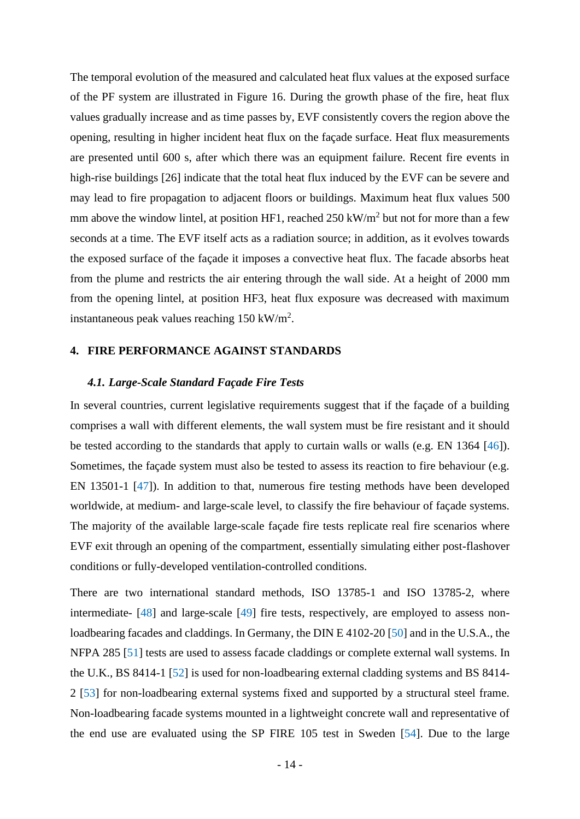The temporal evolution of the measured and calculated heat flux values at the exposed surface of the PF system are illustrated in Figure 16. During the growth phase of the fire, heat flux values gradually increase and as time passes by, EVF consistently covers the region above the opening, resulting in higher incident heat flux on the façade surface. Heat flux measurements are presented until 600 s, after which there was an equipment failure. Recent fire events in high-rise buildings [26] indicate that the total heat flux induced by the EVF can be severe and may lead to fire propagation to adjacent floors or buildings. Maximum heat flux values 500 mm above the window lintel, at position HF1, reached  $250 \text{ kW/m}^2$  but not for more than a few seconds at a time. The EVF itself acts as a radiation source; in addition, as it evolves towards the exposed surface of the façade it imposes a convective heat flux. The facade absorbs heat from the plume and restricts the air entering through the wall side. At a height of 2000 mm from the opening lintel, at position HF3, heat flux exposure was decreased with maximum instantaneous peak values reaching  $150 \text{ kW/m}^2$ .

#### **4. FIRE PERFORMANCE AGAINST STANDARDS**

#### *4.1. Large-Scale Standard Façade Fire Tests*

In several countries, current legislative requirements suggest that if the façade of a building comprises a wall with different elements, the wall system must be fire resistant and it should be tested according to the standards that apply to curtain walls or walls (e.g. EN 1364 [46]). Sometimes, the façade system must also be tested to assess its reaction to fire behaviour (e.g. EN 13501-1 [47]). In addition to that, numerous fire testing methods have been developed worldwide, at medium- and large-scale level, to classify the fire behaviour of façade systems. The majority of the available large-scale façade fire tests replicate real fire scenarios where EVF exit through an opening of the compartment, essentially simulating either post-flashover conditions or fully-developed ventilation-controlled conditions.

There are two international standard methods, ISO 13785-1 and ISO 13785-2, where intermediate- [48] and large-scale [49] fire tests, respectively, are employed to assess nonloadbearing facades and claddings. In Germany, the DIN E 4102-20 [50] and in the U.S.A., the NFPA 285 [51] tests are used to assess facade claddings or complete external wall systems. In the U.K., BS 8414-1 [52] is used for non-loadbearing external cladding systems and BS 8414- 2 [53] for non-loadbearing external systems fixed and supported by a structural steel frame. Non-loadbearing facade systems mounted in a lightweight concrete wall and representative of the end use are evaluated using the SP FIRE 105 test in Sweden [54]. Due to the large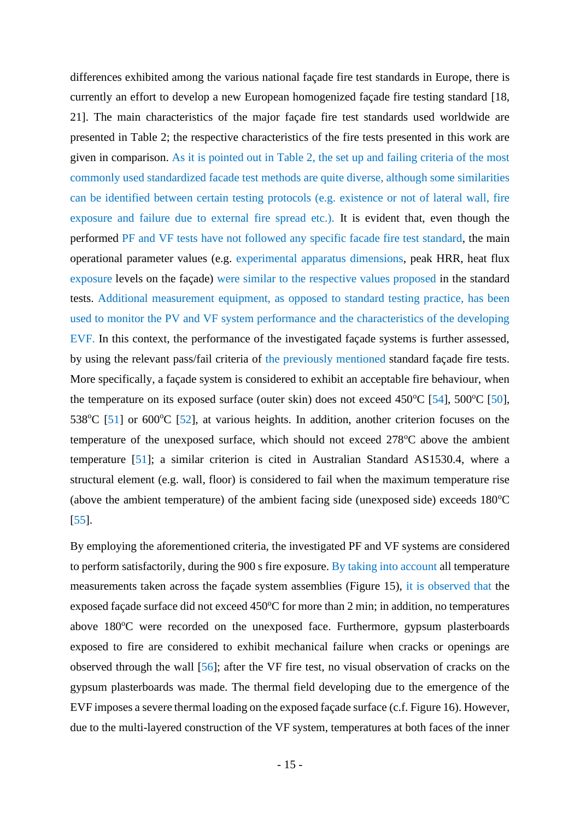differences exhibited among the various national façade fire test standards in Europe, there is currently an effort to develop a new European homogenized façade fire testing standard [18, 21]. The main characteristics of the major façade fire test standards used worldwide are presented in Table 2; the respective characteristics of the fire tests presented in this work are given in comparison. As it is pointed out in Table 2, the set up and failing criteria of the most commonly used standardized facade test methods are quite diverse, although some similarities can be identified between certain testing protocols (e.g. existence or not of lateral wall, fire exposure and failure due to external fire spread etc.). It is evident that, even though the performed PF and VF tests have not followed any specific facade fire test standard, the main operational parameter values (e.g. experimental apparatus dimensions, peak HRR, heat flux exposure levels on the façade) were similar to the respective values proposed in the standard tests. Additional measurement equipment, as opposed to standard testing practice, has been used to monitor the PV and VF system performance and the characteristics of the developing EVF. In this context, the performance of the investigated façade systems is further assessed, by using the relevant pass/fail criteria of the previously mentioned standard façade fire tests. More specifically, a façade system is considered to exhibit an acceptable fire behaviour, when the temperature on its exposed surface (outer skin) does not exceed  $450^{\circ}$ C [54],  $500^{\circ}$ C [50], 538 $^{\circ}$ C [51] or 600 $^{\circ}$ C [52], at various heights. In addition, another criterion focuses on the temperature of the unexposed surface, which should not exceed  $278^{\circ}$ C above the ambient temperature [51]; a similar criterion is cited in Australian Standard AS1530.4, where a structural element (e.g. wall, floor) is considered to fail when the maximum temperature rise (above the ambient temperature) of the ambient facing side (unexposed side) exceeds  $180^{\circ}$ C [55].

By employing the aforementioned criteria, the investigated PF and VF systems are considered to perform satisfactorily, during the 900 s fire exposure. By taking into account all temperature measurements taken across the façade system assemblies (Figure 15), it is observed that the exposed façade surface did not exceed  $450^{\circ}$ C for more than 2 min; in addition, no temperatures above 180<sup>o</sup>C were recorded on the unexposed face. Furthermore, gypsum plasterboards exposed to fire are considered to exhibit mechanical failure when cracks or openings are observed through the wall [56]; after the VF fire test, no visual observation of cracks on the gypsum plasterboards was made. The thermal field developing due to the emergence of the EVF imposes a severe thermal loading on the exposed façade surface (c.f. Figure 16). However, due to the multi-layered construction of the VF system, temperatures at both faces of the inner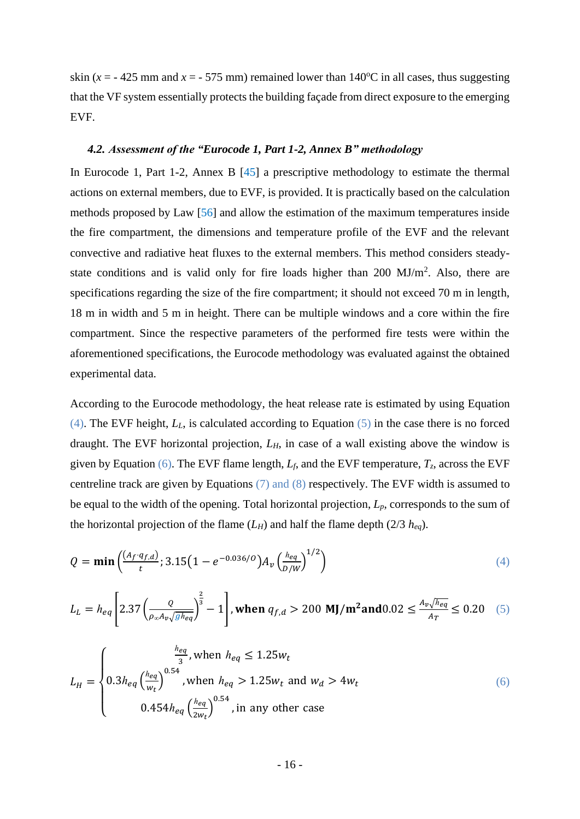skin ( $x = -425$  mm and  $x = -575$  mm) remained lower than 140<sup>o</sup>C in all cases, thus suggesting that the VF system essentially protects the building façade from direct exposure to the emerging EVF.

#### *4.2. Assessment of the "Eurocode 1, Part 1-2, Annex B" methodology*

In Eurocode 1, Part 1-2, Annex B [45] a prescriptive methodology to estimate the thermal actions on external members, due to EVF, is provided. It is practically based on the calculation methods proposed by Law [56] and allow the estimation of the maximum temperatures inside the fire compartment, the dimensions and temperature profile of the EVF and the relevant convective and radiative heat fluxes to the external members. This method considers steadystate conditions and is valid only for fire loads higher than  $200 \text{ MJ/m}^2$ . Also, there are specifications regarding the size of the fire compartment; it should not exceed 70 m in length, 18 m in width and 5 m in height. There can be multiple windows and a core within the fire compartment. Since the respective parameters of the performed fire tests were within the aforementioned specifications, the Eurocode methodology was evaluated against the obtained experimental data.

According to the Eurocode methodology, the heat release rate is estimated by using Equation (4). The EVF height, *LL*, is calculated according to Equation (5) in the case there is no forced draught. The EVF horizontal projection, *LH*, in case of a wall existing above the window is given by Equation (6). The EVF flame length,  $L_f$ , and the EVF temperature,  $T_z$ , across the EVF centreline track are given by Equations (7) and (8) respectively. The EVF width is assumed to be equal to the width of the opening. Total horizontal projection, *Lp*, corresponds to the sum of the horizontal projection of the flame  $(L_H)$  and half the flame depth (2/3  $h_{eq}$ ).

$$
Q = \min\left(\frac{(A_f \cdot q_{f,d})}{t}; 3.15\left(1 - e^{-0.036/0}\right)A_v\left(\frac{he_q}{D/W}\right)^{1/2}\right) \tag{4}
$$

$$
L_{L} = h_{eq} \left[ 2.37 \left( \frac{Q}{\rho_{\infty} A_{\nu} \sqrt{gh_{eq}}} \right)^{\frac{2}{3}} - 1 \right], \text{when } q_{f,d} > 200 \text{ MJ/m}^2 \text{and} 0.02 \le \frac{A_{\nu} \sqrt{h_{eq}}}{A_{T}} \le 0.20 \quad (5)
$$

$$
L_{H} = \begin{cases} \frac{\frac{h_{eq}}{3}}{3} & \text{when } h_{eq} \le 1.25w_{t} \\ 0.3h_{eq} \left(\frac{h_{eq}}{w_{t}}\right)^{0.54} & \text{when } h_{eq} > 1.25w_{t} \text{ and } w_{d} > 4w_{t} \\ 0.454h_{eq} \left(\frac{h_{eq}}{2w_{t}}\right)^{0.54} & \text{in any other case} \end{cases} \tag{6}
$$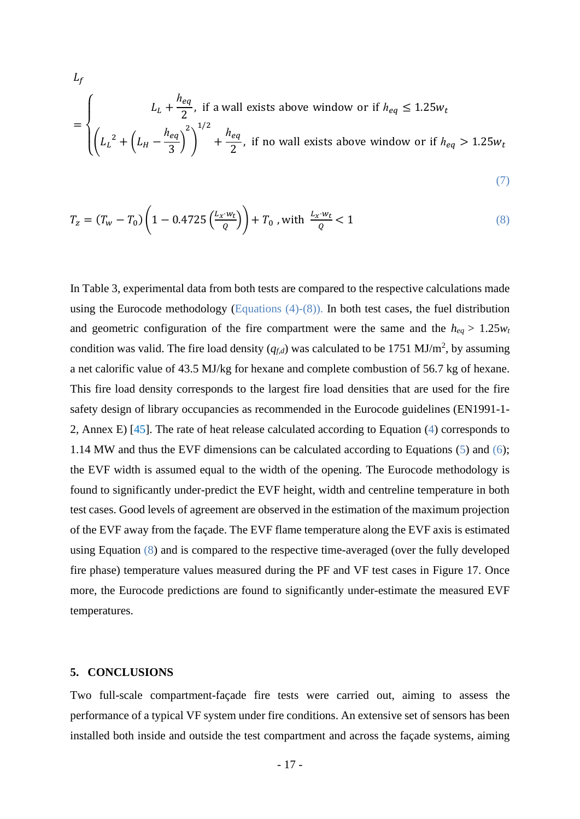$$
L_f
$$
\n
$$
= \begin{cases}\nL_L + \frac{h_{eq}}{2}, & \text{if a wall exists above window or if } h_{eq} \le 1.25w_t \\
\left(L_L^2 + \left(L_H - \frac{h_{eq}}{3}\right)^2\right)^{1/2} + \frac{h_{eq}}{2}, & \text{if no wall exists above window or if } h_{eq} > 1.25w_t\n\end{cases}
$$

$$
(\mathcal{7})
$$

$$
T_z = (T_w - T_0) \left( 1 - 0.4725 \left( \frac{L_x \cdot w_t}{Q} \right) \right) + T_0 \text{ , with } \frac{L_x \cdot w_t}{Q} < 1 \tag{8}
$$

In Table 3, experimental data from both tests are compared to the respective calculations made using the Eurocode methodology (Equations (4)-(8)). In both test cases, the fuel distribution and geometric configuration of the fire compartment were the same and the  $h_{eq} > 1.25 w_t$ condition was valid. The fire load density  $(q_{f,d})$  was calculated to be 1751 MJ/m<sup>2</sup>, by assuming a net calorific value of 43.5 MJ/kg for hexane and complete combustion of 56.7 kg of hexane. This fire load density corresponds to the largest fire load densities that are used for the fire safety design of library occupancies as recommended in the Eurocode guidelines (EN1991-1- 2, Annex E) [45]. The rate of heat release calculated according to Equation (4) corresponds to 1.14 MW and thus the EVF dimensions can be calculated according to Equations (5) and (6); the EVF width is assumed equal to the width of the opening. The Eurocode methodology is found to significantly under-predict the EVF height, width and centreline temperature in both test cases. Good levels of agreement are observed in the estimation of the maximum projection of the EVF away from the façade. The EVF flame temperature along the EVF axis is estimated using Equation (8) and is compared to the respective time-averaged (over the fully developed fire phase) temperature values measured during the PF and VF test cases in Figure 17. Once more, the Eurocode predictions are found to significantly under-estimate the measured EVF temperatures.

#### **5. CONCLUSIONS**

 $\mathbf{r}$ 

Two full-scale compartment-façade fire tests were carried out, aiming to assess the performance of a typical VF system under fire conditions. An extensive set of sensors has been installed both inside and outside the test compartment and across the façade systems, aiming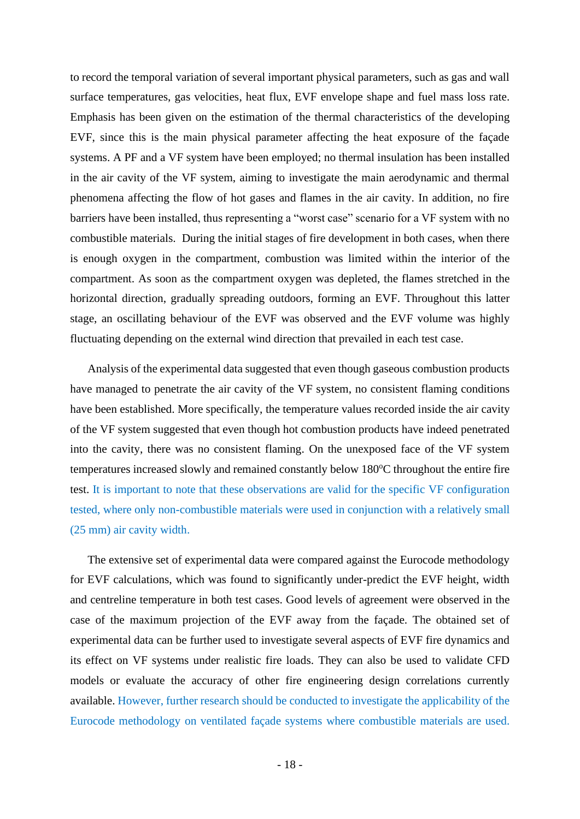to record the temporal variation of several important physical parameters, such as gas and wall surface temperatures, gas velocities, heat flux, EVF envelope shape and fuel mass loss rate. Emphasis has been given on the estimation of the thermal characteristics of the developing EVF, since this is the main physical parameter affecting the heat exposure of the façade systems. A PF and a VF system have been employed; no thermal insulation has been installed in the air cavity of the VF system, aiming to investigate the main aerodynamic and thermal phenomena affecting the flow of hot gases and flames in the air cavity. In addition, no fire barriers have been installed, thus representing a "worst case" scenario for a VF system with no combustible materials. During the initial stages of fire development in both cases, when there is enough oxygen in the compartment, combustion was limited within the interior of the compartment. As soon as the compartment oxygen was depleted, the flames stretched in the horizontal direction, gradually spreading outdoors, forming an EVF. Throughout this latter stage, an oscillating behaviour of the EVF was observed and the EVF volume was highly fluctuating depending on the external wind direction that prevailed in each test case.

Analysis of the experimental data suggested that even though gaseous combustion products have managed to penetrate the air cavity of the VF system, no consistent flaming conditions have been established. More specifically, the temperature values recorded inside the air cavity of the VF system suggested that even though hot combustion products have indeed penetrated into the cavity, there was no consistent flaming. On the unexposed face of the VF system temperatures increased slowly and remained constantly below  $180^{\circ}$ C throughout the entire fire test. It is important to note that these observations are valid for the specific VF configuration tested, where only non-combustible materials were used in conjunction with a relatively small (25 mm) air cavity width.

The extensive set of experimental data were compared against the Eurocode methodology for EVF calculations, which was found to significantly under-predict the EVF height, width and centreline temperature in both test cases. Good levels of agreement were observed in the case of the maximum projection of the EVF away from the façade. The obtained set of experimental data can be further used to investigate several aspects of EVF fire dynamics and its effect on VF systems under realistic fire loads. They can also be used to validate CFD models or evaluate the accuracy of other fire engineering design correlations currently available. However, further research should be conducted to investigate the applicability of the Eurocode methodology on ventilated façade systems where combustible materials are used.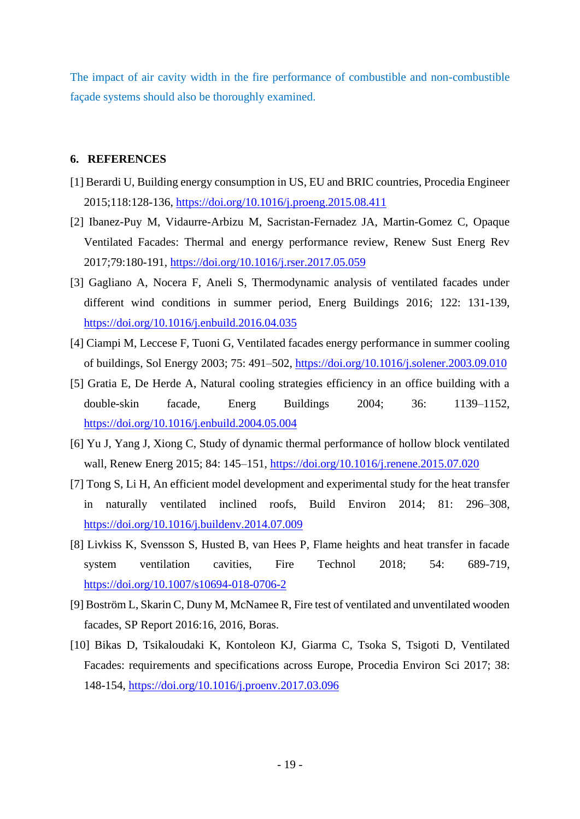The impact of air cavity width in the fire performance of combustible and non-combustible façade systems should also be thoroughly examined.

#### **6. REFERENCES**

- [1] Berardi U, Building energy consumption in US, EU and BRIC countries, Procedia Engineer 2015;118:128-136,<https://doi.org/10.1016/j.proeng.2015.08.411>
- [2] Ibanez-Puy M, Vidaurre-Arbizu M, Sacristan-Fernadez JA, Martin-Gomez C, Opaque Ventilated Facades: Thermal and energy performance review, Renew Sust Energ Rev 2017;79:180-191,<https://doi.org/10.1016/j.rser.2017.05.059>
- [3] Gagliano A, Nocera F, Aneli S, Thermodynamic analysis of ventilated facades under different wind conditions in summer period, Energ Buildings 2016; 122: 131-139, <https://doi.org/10.1016/j.enbuild.2016.04.035>
- [4] Ciampi M, Leccese F, Tuoni G, Ventilated facades energy performance in summer cooling of buildings, Sol Energy 2003; 75: 491–502,<https://doi.org/10.1016/j.solener.2003.09.010>
- [5] Gratia E, De Herde A, Natural cooling strategies efficiency in an office building with a double-skin facade, Energ Buildings 2004; 36: 1139–1152, <https://doi.org/10.1016/j.enbuild.2004.05.004>
- [6] Yu J, Yang J, Xiong C, Study of dynamic thermal performance of hollow block ventilated wall, Renew Energ 2015; 84: 145–151,<https://doi.org/10.1016/j.renene.2015.07.020>
- [7] Tong S, Li H, An efficient model development and experimental study for the heat transfer in naturally ventilated inclined roofs, Build Environ 2014; 81: 296–308, <https://doi.org/10.1016/j.buildenv.2014.07.009>
- [8] Livkiss K, Svensson S, Husted B, van Hees P, Flame heights and heat transfer in facade system ventilation cavities, Fire Technol 2018; 54: 689-719, <https://doi.org/10.1007/s10694-018-0706-2>
- [9] Boström L, Skarin C, Duny M, McNamee R, Fire test of ventilated and unventilated wooden facades, SP Report 2016:16, 2016, Boras.
- [10] Bikas D, Tsikaloudaki K, Kontoleon KJ, Giarma C, Tsoka S, Tsigoti D, Ventilated Facades: requirements and specifications across Europe, Procedia Environ Sci 2017; 38: 148-154,<https://doi.org/10.1016/j.proenv.2017.03.096>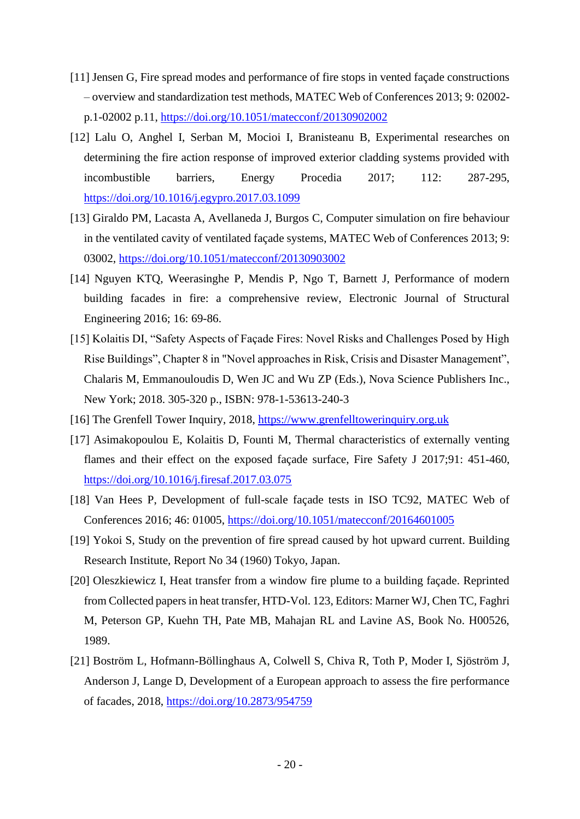- [11] Jensen G, Fire spread modes and performance of fire stops in vented façade constructions – overview and standardization test methods, MATEC Web of Conferences 2013; 9: 02002 p.1-02002 p.11,<https://doi.org/10.1051/matecconf/20130902002>
- [12] Lalu O, Anghel I, Serban M, Mocioi I, Branisteanu B, Experimental researches on determining the fire action response of improved exterior cladding systems provided with incombustible barriers, Energy Procedia 2017; 112: 287-295, <https://doi.org/10.1016/j.egypro.2017.03.1099>
- [13] Giraldo PM, Lacasta A, Avellaneda J, Burgos C, Computer simulation on fire behaviour in the ventilated cavity of ventilated façade systems, MATEC Web of Conferences 2013; 9: 03002,<https://doi.org/10.1051/matecconf/20130903002>
- [14] Nguyen KTQ, Weerasinghe P, Mendis P, Ngo T, Barnett J, Performance of modern building facades in fire: a comprehensive review, Electronic Journal of Structural Engineering 2016; 16: 69-86.
- [15] Kolaitis DI, "Safety Aspects of Façade Fires: Novel Risks and Challenges Posed by High Rise Buildings", Chapter 8 in "Novel approaches in Risk, Crisis and Disaster Management", Chalaris M, Emmanouloudis D, Wen JC and Wu ZP (Eds.), Nova Science Publishers Inc., New York; 2018. 305-320 p., ISBN: 978-1-53613-240-3
- [16] The Grenfell Tower Inquiry, 2018, [https://www.grenfelltowerinquiry.org.uk](https://www.grenfelltowerinquiry.org.uk/)
- [17] Asimakopoulou E, Kolaitis D, Founti M, Thermal characteristics of externally venting flames and their effect on the exposed façade surface, Fire Safety J 2017;91: 451-460, <https://doi.org/10.1016/j.firesaf.2017.03.075>
- [18] Van Hees P, Development of full-scale façade tests in ISO TC92, MATEC Web of Conferences 2016; 46: 01005,<https://doi.org/10.1051/matecconf/20164601005>
- [19] Yokoi S, Study on the prevention of fire spread caused by hot upward current. Building Research Institute, Report No 34 (1960) Tokyo, Japan.
- [20] Oleszkiewicz I, Heat transfer from a window fire plume to a building façade. Reprinted from Collected papers in heat transfer, HTD-Vol. 123, Editors: Marner WJ, Chen TC, Faghri M, Peterson GP, Kuehn TH, Pate MB, Mahajan RL and Lavine AS, Book No. H00526, 1989.
- [21] Boström L, Hofmann-Böllinghaus A, Colwell S, Chiva R, Toth P, Moder I, Sjöström J, Anderson J, Lange D, Development of a European approach to assess the fire performance of facades, 2018,<https://doi.org/10.2873/954759>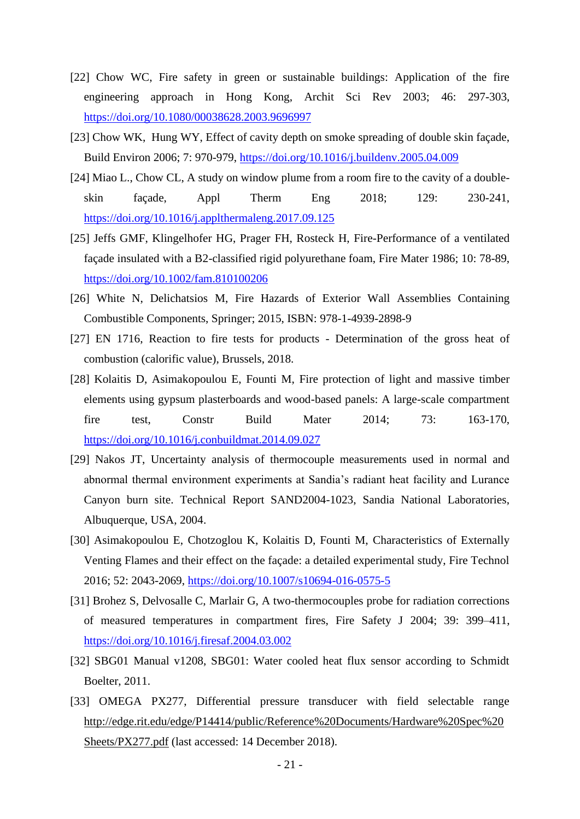- [22] Chow WC, Fire safety in green or sustainable buildings: Application of the fire engineering approach in Hong Kong, Archit Sci Rev 2003; 46: 297-303, <https://doi.org/10.1080/00038628.2003.9696997>
- [23] Chow WK, Hung WY, Effect of cavity depth on smoke spreading of double skin façade, Build Environ 2006; 7: 970-979,<https://doi.org/10.1016/j.buildenv.2005.04.009>
- [24] Miao L., Chow CL, A study on window plume from a room fire to the cavity of a doubleskin façade, Appl Therm Eng 2018; 129: 230-241, <https://doi.org/10.1016/j.applthermaleng.2017.09.125>
- [25] Jeffs GMF, Klingelhofer HG, Prager FH, Rosteck H, Fire-Performance of a ventilated façade insulated with a B2-classified rigid polyurethane foam, Fire Mater 1986; 10: 78-89, <https://doi.org/10.1002/fam.810100206>
- [26] White N, Delichatsios M, Fire Hazards of Exterior Wall Assemblies Containing Combustible Components, Springer; 2015, ISBN: 978-1-4939-2898-9
- [27] EN 1716, Reaction to fire tests for products Determination of the gross heat of combustion (calorific value), Brussels, 2018.
- [28] Kolaitis D, Asimakopoulou E, Founti M, Fire protection of light and massive timber elements using gypsum plasterboards and wood-based panels: A large-scale compartment fire test, Constr Build Mater 2014; 73: 163-170, <https://doi.org/10.1016/j.conbuildmat.2014.09.027>
- [29] Nakos JT, Uncertainty analysis of thermocouple measurements used in normal and abnormal thermal environment experiments at Sandia's radiant heat facility and Lurance Canyon burn site. Technical Report SAND2004-1023, Sandia National Laboratories, Albuquerque, USA, 2004.
- [30] Asimakopoulou E, Chotzoglou K, Kolaitis D, Founti M, Characteristics of Externally Venting Flames and their effect on the façade: a detailed experimental study, Fire Technol 2016; 52: 2043-2069,<https://doi.org/10.1007/s10694-016-0575-5>
- [31] Brohez S, Delvosalle C, Marlair G, A two-thermocouples probe for radiation corrections of measured temperatures in compartment fires, Fire Safety J 2004; 39: 399–411, <https://doi.org/10.1016/j.firesaf.2004.03.002>
- [32] SBG01 Manual v1208, SBG01: Water cooled heat flux sensor according to Schmidt Boelter, 2011.
- [33] OMEGA PX277, Differential pressure transducer with field selectable range [http://edge.rit.edu/edge/P14414/public/Reference%20Documents/Hardware%20Spec%20](http://edge.rit.edu/edge/P14414/public/Reference%20Documents/Hardware%20Spec%20Sheets/PX277.pdf) [Sheets/PX277.pdf](http://edge.rit.edu/edge/P14414/public/Reference%20Documents/Hardware%20Spec%20Sheets/PX277.pdf) (last accessed: 14 December 2018).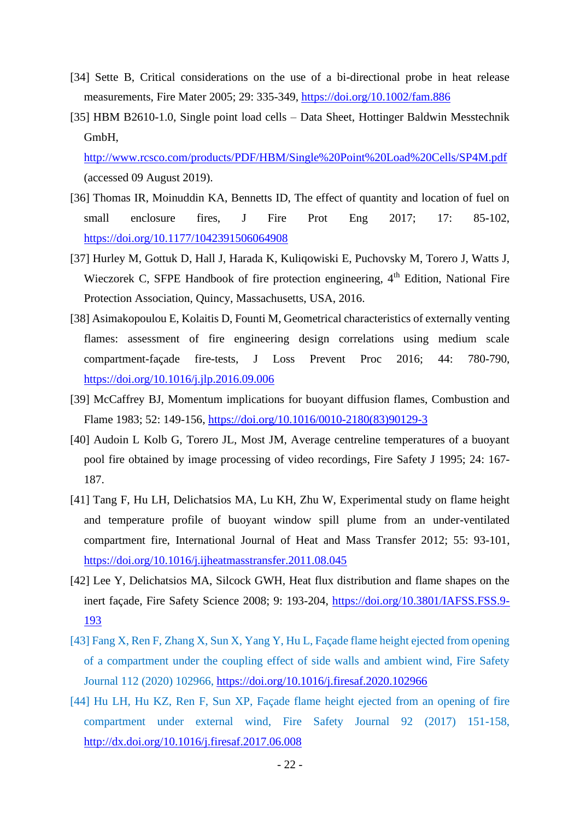- [34] Sette B, Critical considerations on the use of a bi-directional probe in heat release measurements, Fire Mater 2005; 29: 335-349,<https://doi.org/10.1002/fam.886>
- [35] HBM B2610-1.0, Single point load cells Data Sheet, Hottinger Baldwin Messtechnik GmbH,

<http://www.rcsco.com/products/PDF/HBM/Single%20Point%20Load%20Cells/SP4M.pdf> (accessed 09 August 2019).

- [36] Thomas IR, Moinuddin KA, Bennetts ID, The effect of quantity and location of fuel on small enclosure fires, J Fire Prot Eng 2017; 17: 85-102, <https://doi.org/10.1177/1042391506064908>
- [37] Hurley M, Gottuk D, Hall J, Harada K, Kuliqowiski E, Puchovsky M, Torero J, Watts J, Wieczorek C, SFPE Handbook of fire protection engineering, 4<sup>th</sup> Edition, National Fire Protection Association, Quincy, Massachusetts, USA, 2016.
- [38] Asimakopoulou E, Kolaitis D, Founti M, Geometrical characteristics of externally venting flames: assessment of fire engineering design correlations using medium scale compartment-façade fire-tests, J Loss Prevent Proc 2016; 44: 780-790, <https://doi.org/10.1016/j.jlp.2016.09.006>
- [39] McCaffrey BJ, Momentum implications for buoyant diffusion flames, Combustion and Flame 1983; 52: 149-156, [https://doi.org/10.1016/0010-2180\(83\)90129-3](https://doi.org/10.1016/0010-2180(83)90129-3)
- [40] Audoin L Kolb G, Torero JL, Most JM, Average centreline temperatures of a buoyant pool fire obtained by image processing of video recordings, Fire Safety J 1995; 24: 167- 187.
- [41] Tang F, Hu LH, Delichatsios MA, Lu KH, Zhu W, Experimental study on flame height and temperature profile of buoyant window spill plume from an under-ventilated compartment fire, International Journal of Heat and Mass Transfer 2012; 55: 93-101, <https://doi.org/10.1016/j.ijheatmasstransfer.2011.08.045>
- [42] Lee Y, Delichatsios MA, Silcock GWH, Heat flux distribution and flame shapes on the inert façade, Fire Safety Science 2008; 9: 193-204, [https://doi.org/10.3801/IAFSS.FSS.9-](https://doi.org/10.3801/IAFSS.FSS.9-193) [193](https://doi.org/10.3801/IAFSS.FSS.9-193)
- [43] Fang X, Ren F, Zhang X, Sun X, Yang Y, Hu L, Façade flame height ejected from opening of a compartment under the coupling effect of side walls and ambient wind, Fire Safety Journal 112 (2020) 102966,<https://doi.org/10.1016/j.firesaf.2020.102966>
- [44] Hu LH, Hu KZ, Ren F, Sun XP, Façade flame height ejected from an opening of fire compartment under external wind, Fire Safety Journal 92 (2017) 151-158, <http://dx.doi.org/10.1016/j.firesaf.2017.06.008>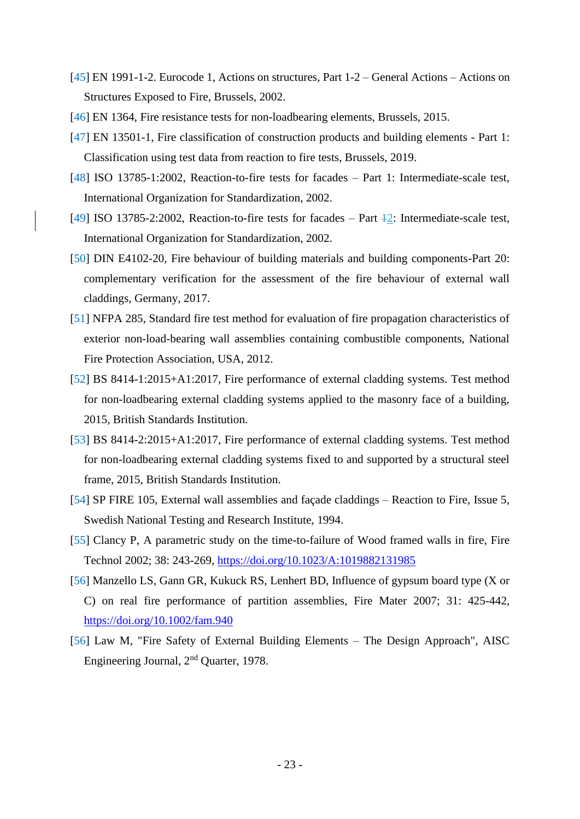- [45] EN 1991-1-2. Eurocode 1, Actions on structures, Part 1-2 General Actions Actions on Structures Exposed to Fire, Brussels, 2002.
- [46] EN 1364, Fire resistance tests for non-loadbearing elements, Brussels, 2015.
- [47] EN 13501-1, Fire classification of construction products and building elements Part 1: Classification using test data from reaction to fire tests, Brussels, 2019.
- [48] ISO 13785-1:2002, Reaction-to-fire tests for facades Part 1: Intermediate-scale test, International Organization for Standardization, 2002.
- [49] ISO 13785-2:2002, Reaction-to-fire tests for facades Part 42: Intermediate-scale test, International Organization for Standardization, 2002.
- [50] DIN E4102-20, Fire behaviour of building materials and building components-Part 20: complementary verification for the assessment of the fire behaviour of external wall claddings, Germany, 2017.
- [51] NFPA 285, Standard fire test method for evaluation of fire propagation characteristics of exterior non-load-bearing wall assemblies containing combustible components, National Fire Protection Association, USA, 2012.
- [52] BS 8414-1:2015+A1:2017, Fire performance of external cladding systems. Test method for non-loadbearing external cladding systems applied to the masonry face of a building, 2015, British Standards Institution.
- [53] BS 8414-2:2015+A1:2017, Fire performance of external cladding systems. Test method for non-loadbearing external cladding systems fixed to and supported by a structural steel frame, 2015, British Standards Institution.
- [54] SP FIRE 105, External wall assemblies and façade claddings Reaction to Fire, Issue 5, Swedish National Testing and Research Institute, 1994.
- [55] Clancy P, A parametric study on the time-to-failure of Wood framed walls in fire, Fire Technol 2002; 38: 243-269,<https://doi.org/10.1023/A:1019882131985>
- [56] Manzello LS, Gann GR, Kukuck RS, Lenhert BD, Influence of gypsum board type (X or C) on real fire performance of partition assemblies, Fire Mater 2007; 31: 425-442, <https://doi.org/10.1002/fam.940>
- [56] Law M, "Fire Safety of External Building Elements The Design Approach", AISC Engineering Journal, 2nd Quarter, 1978.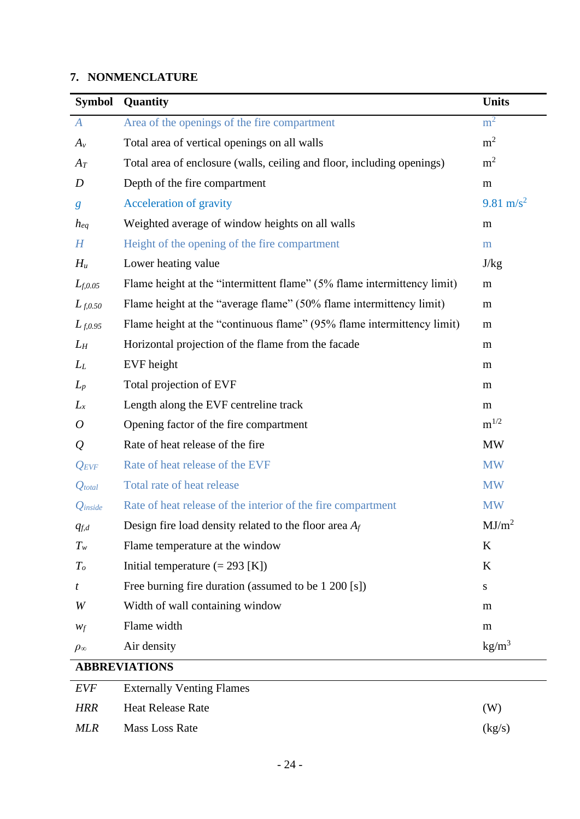### **7. NONMENCLATURE**

| <b>Symbol</b>        | Quantity                                                                | <b>Units</b>          |
|----------------------|-------------------------------------------------------------------------|-----------------------|
| $\boldsymbol{A}$     | Area of the openings of the fire compartment                            | m <sup>2</sup>        |
| $A_v$                | Total area of vertical openings on all walls                            | m <sup>2</sup>        |
| $A_T$                | Total area of enclosure (walls, ceiling and floor, including openings)  | m <sup>2</sup>        |
| $\boldsymbol{D}$     | Depth of the fire compartment                                           | m                     |
| $\boldsymbol{g}$     | <b>Acceleration of gravity</b>                                          | 9.81 m/s <sup>2</sup> |
| $h_{eq}$             | Weighted average of window heights on all walls                         | m                     |
| H                    | Height of the opening of the fire compartment                           | m                     |
| $H_u$                | Lower heating value                                                     | J/kg                  |
| $L_{f,0.05}$         | Flame height at the "intermittent flame" (5% flame intermittency limit) | m                     |
| $L_{f,0.50}$         | Flame height at the "average flame" (50% flame intermittency limit)     | m                     |
| $L_{f,0.95}$         | Flame height at the "continuous flame" (95% flame intermittency limit)  | m                     |
| $L_H$                | Horizontal projection of the flame from the facade                      | m                     |
| $L_L$                | EVF height                                                              | m                     |
| $L_p$                | Total projection of EVF                                                 | m                     |
| $L_x$                | Length along the EVF centreline track                                   | m                     |
| 0                    | Opening factor of the fire compartment                                  | $m^{1/2}$             |
| $\mathcal{Q}$        | Rate of heat release of the fire                                        | <b>MW</b>             |
| $Q_{EVF}$            | Rate of heat release of the EVF                                         | <b>MW</b>             |
| $Q_{total}$          | Total rate of heat release                                              | <b>MW</b>             |
| $Q$ inside           | Rate of heat release of the interior of the fire compartment            | <b>MW</b>             |
| $q_{f,d}$            | Design fire load density related to the floor area $A_f$                | MJ/m <sup>2</sup>     |
| $T_{w}$              | Flame temperature at the window                                         | K                     |
| $T_o$                | Initial temperature $(= 293$ [K])                                       | K                     |
| t                    | Free burning fire duration (assumed to be 1 200 [s])                    | S                     |
| W                    | Width of wall containing window                                         | m                     |
| $W_f$                | Flame width                                                             | m                     |
| $\rho_{\infty}$      | Air density                                                             | kg/m <sup>3</sup>     |
| <b>ABBREVIATIONS</b> |                                                                         |                       |

## *EVF* Externally Venting Flames *HRR* Heat Release Rate (W) *MLR* Mass Loss Rate (kg/s)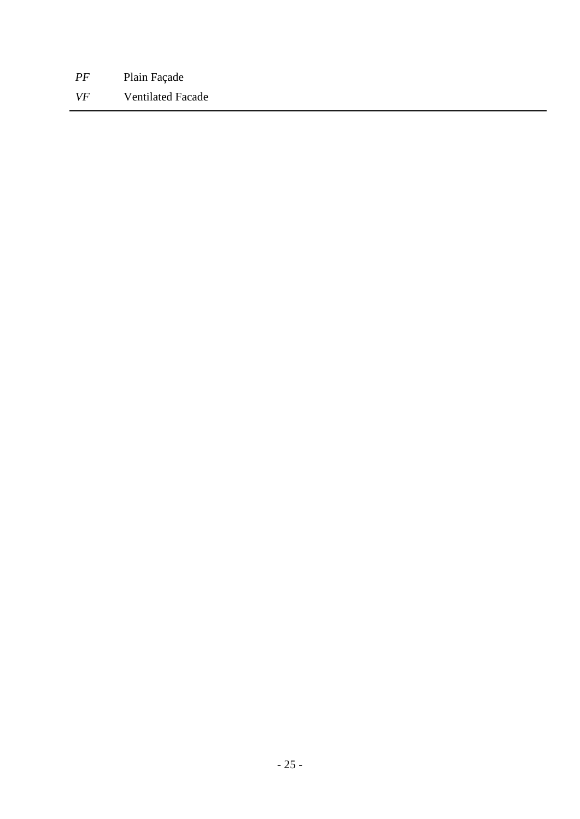*PF* Plain Façade *VF* Ventilated Facade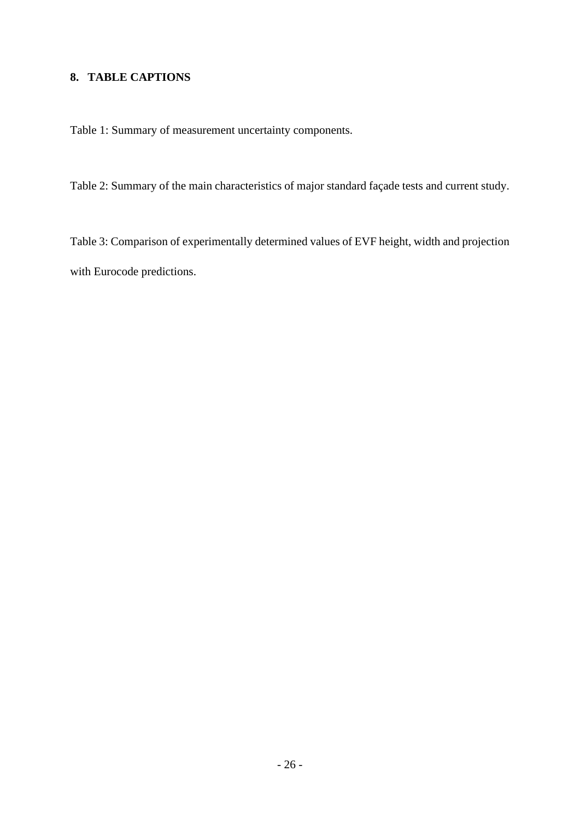### **8. TABLE CAPTIONS**

Table 1: Summary of measurement uncertainty components.

Table 2: Summary of the main characteristics of major standard façade tests and current study.

Table 3: Comparison of experimentally determined values of EVF height, width and projection with Eurocode predictions.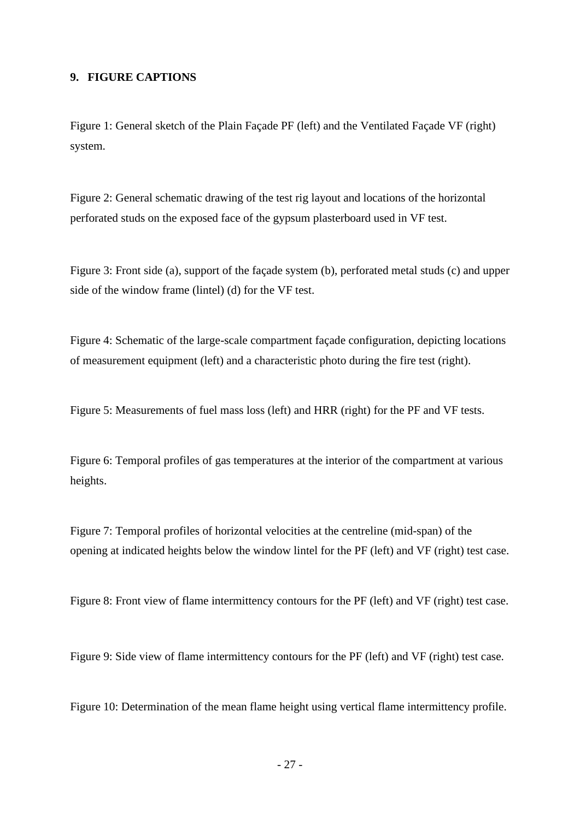### **9. FIGURE CAPTIONS**

Figure 1: General sketch of the Plain Façade PF (left) and the Ventilated Façade VF (right) system.

Figure 2: General schematic drawing of the test rig layout and locations of the horizontal perforated studs on the exposed face of the gypsum plasterboard used in VF test.

Figure 3: Front side (a), support of the façade system (b), perforated metal studs (c) and upper side of the window frame (lintel) (d) for the VF test.

Figure 4: Schematic of the large-scale compartment façade configuration, depicting locations of measurement equipment (left) and a characteristic photo during the fire test (right).

Figure 5: Measurements of fuel mass loss (left) and HRR (right) for the PF and VF tests.

Figure 6: Temporal profiles of gas temperatures at the interior of the compartment at various heights.

Figure 7: Temporal profiles of horizontal velocities at the centreline (mid-span) of the opening at indicated heights below the window lintel for the PF (left) and VF (right) test case.

Figure 8: Front view of flame intermittency contours for the PF (left) and VF (right) test case.

Figure 9: Side view of flame intermittency contours for the PF (left) and VF (right) test case.

Figure 10: Determination of the mean flame height using vertical flame intermittency profile.